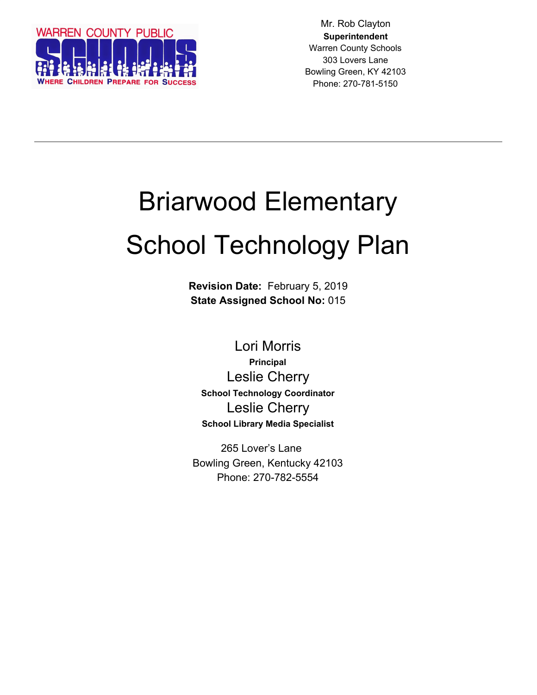

Mr. Rob Clayton **Superintendent** Warren County Schools 303 Lovers Lane Bowling Green, KY 42103 Phone: 270-781-5150

# Briarwood Elementary School Technology Plan

**Revision Date:** February 5, 2019 **State Assigned School No:** 015

Lori Morris **Principal** Leslie Cherry **School Technology Coordinator** Leslie Cherry **School Library Media Specialist**

265 Lover's Lane Bowling Green, Kentucky 42103 Phone: 270-782-5554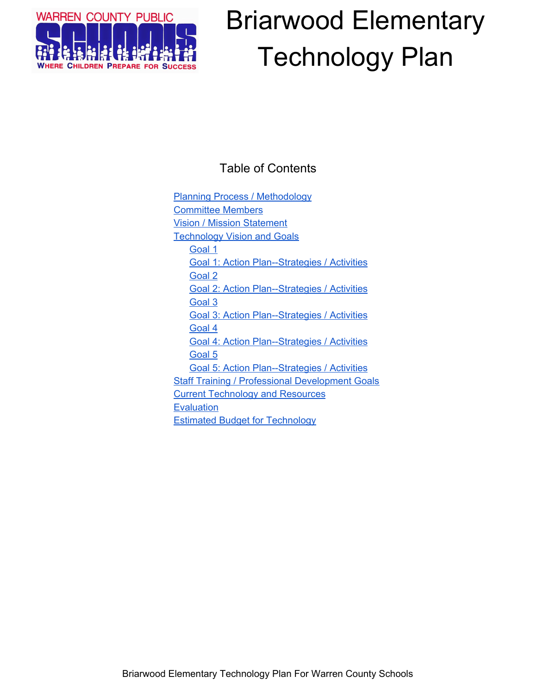

### Table of Contents

Planning Process / [Methodology](#page-2-0) [Committee](#page-2-1) Members Vision / Mission [Statement](#page-2-2) **[Technology](#page-3-0) Vision and Goals** [Goal](#page-3-1) 1 Goal 1: Action [Plan--Strategies](#page-3-2) / Activities [Goal](#page-4-0) 2 Goal 2: Action [Plan--Strategies](#page-4-1) / Activities [Goal](#page-4-2) 3 Goal 3: Action [Plan--Strategies](#page-4-3) / Activities [Goal](#page-5-0) 4 Goal 4: Action [Plan--Strategies](#page-5-1) / Activities Goal 5 Goal 5: Action Plan--Strategies / Activities **Staff Training / Professional [Development](#page-5-2) Goals** Current [Technology](#page-6-0) and Resources **[Evaluation](#page-6-1)** Estimated Budget for [Technology](#page-6-2)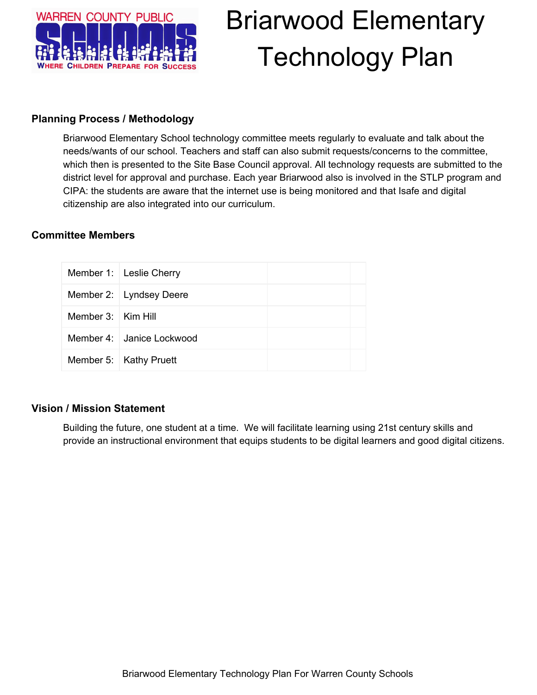

#### <span id="page-2-0"></span>**Planning Process / Methodology**

Briarwood Elementary School technology committee meets regularly to evaluate and talk about the needs/wants of our school. Teachers and staff can also submit requests/concerns to the committee, which then is presented to the Site Base Council approval. All technology requests are submitted to the district level for approval and purchase. Each year Briarwood also is involved in the STLP program and CIPA: the students are aware that the internet use is being monitored and that Isafe and digital citizenship are also integrated into our curriculum.

#### <span id="page-2-1"></span>**Committee Members**

|                        | Member 1: Leslie Cherry   |  |
|------------------------|---------------------------|--|
|                        | Member 2: Lyndsey Deere   |  |
| Member $3:$   Kim Hill |                           |  |
|                        | Member 4: Janice Lockwood |  |
|                        | Member 5:   Kathy Pruett  |  |

#### <span id="page-2-2"></span>**Vision / Mission Statement**

Building the future, one student at a time. We will facilitate learning using 21st century skills and provide an instructional environment that equips students to be digital learners and good digital citizens.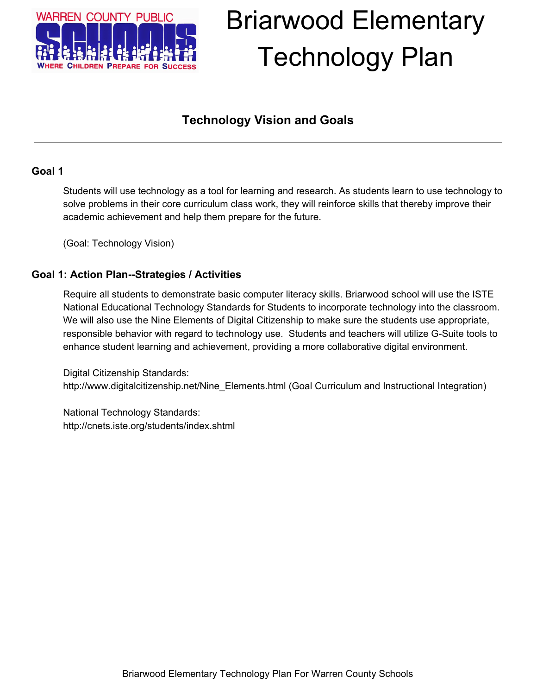

### **Technology Vision and Goals**

#### <span id="page-3-1"></span><span id="page-3-0"></span>**Goal 1**

Students will use technology as a tool for learning and research. As students learn to use technology to solve problems in their core curriculum class work, they will reinforce skills that thereby improve their academic achievement and help them prepare for the future.

(Goal: Technology Vision)

#### <span id="page-3-2"></span>**Goal 1: Action Plan--Strategies / Activities**

Require all students to demonstrate basic computer literacy skills. Briarwood school will use the ISTE National Educational Technology Standards for Students to incorporate technology into the classroom. We will also use the Nine Elements of Digital Citizenship to make sure the students use appropriate, responsible behavior with regard to technology use. Students and teachers will utilize G-Suite tools to enhance student learning and achievement, providing a more collaborative digital environment.

Digital Citizenship Standards: http://www.digitalcitizenship.net/Nine\_Elements.html (Goal Curriculum and Instructional Integration)

National Technology Standards: http://cnets.iste.org/students/index.shtml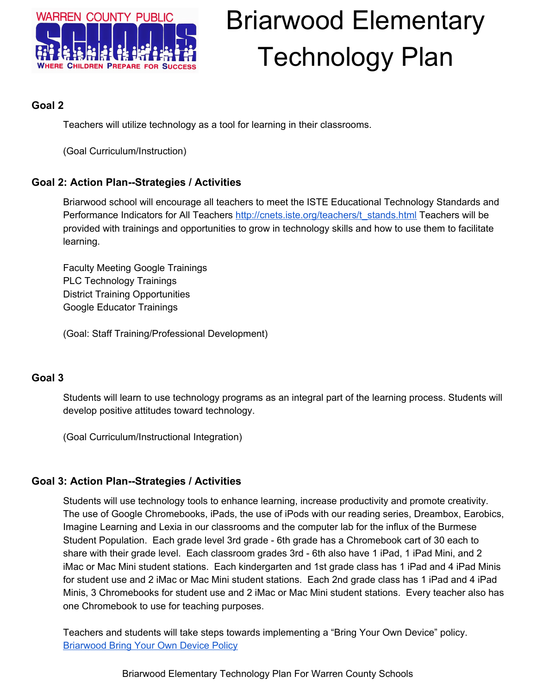

#### <span id="page-4-0"></span>**Goal 2**

Teachers will utilize technology as a tool for learning in their classrooms.

(Goal Curriculum/Instruction)

#### <span id="page-4-1"></span>**Goal 2: Action Plan--Strategies / Activities**

Briarwood school will encourage all teachers to meet the ISTE Educational Technology Standards and Performance Indicators for All Teachers [http://cnets.iste.org/teachers/t\\_stands.html](http://cnets.iste.org/teachers/t_stands.html) Teachers will be provided with trainings and opportunities to grow in technology skills and how to use them to facilitate learning.

Faculty Meeting Google Trainings PLC Technology Trainings District Training Opportunities Google Educator Trainings

(Goal: Staff Training/Professional Development)

#### <span id="page-4-2"></span>**Goal 3**

Students will learn to use technology programs as an integral part of the learning process. Students will develop positive attitudes toward technology.

(Goal Curriculum/Instructional Integration)

#### <span id="page-4-3"></span>**Goal 3: Action Plan--Strategies / Activities**

Students will use technology tools to enhance learning, increase productivity and promote creativity. The use of Google Chromebooks, iPads, the use of iPods with our reading series, Dreambox, Earobics, Imagine Learning and Lexia in our classrooms and the computer lab for the influx of the Burmese Student Population. Each grade level 3rd grade - 6th grade has a Chromebook cart of 30 each to share with their grade level. Each classroom grades 3rd - 6th also have 1 iPad, 1 iPad Mini, and 2 iMac or Mac Mini student stations. Each kindergarten and 1st grade class has 1 iPad and 4 iPad Minis for student use and 2 iMac or Mac Mini student stations. Each 2nd grade class has 1 iPad and 4 iPad Minis, 3 Chromebooks for student use and 2 iMac or Mac Mini student stations. Every teacher also has one Chromebook to use for teaching purposes.

Teachers and students will take steps towards implementing a "Bring Your Own Device" policy. **[Briarwood](https://docs.google.com/document/d/1kkMXk20Az55fYC-g-hiVn9aRR7cfX6sF9gbDzf4jc7M/edit?usp=sharing) Bring Your Own Device Policy** 

Briarwood Elementary Technology Plan For Warren County Schools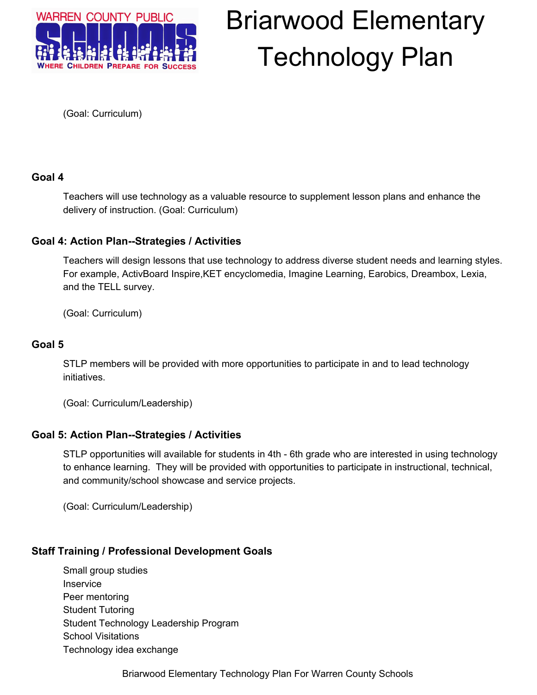

(Goal: Curriculum)

#### <span id="page-5-0"></span>**Goal 4**

Teachers will use technology as a valuable resource to supplement lesson plans and enhance the delivery of instruction. (Goal: Curriculum)

#### <span id="page-5-1"></span>**Goal 4: Action Plan--Strategies / Activities**

Teachers will design lessons that use technology to address diverse student needs and learning styles. For example, ActivBoard Inspire,KET encyclomedia, Imagine Learning, Earobics, Dreambox, Lexia, and the TELL survey.

(Goal: Curriculum)

#### **Goal 5**

STLP members will be provided with more opportunities to participate in and to lead technology initiatives.

(Goal: Curriculum/Leadership)

#### **Goal 5: Action Plan--Strategies / Activities**

STLP opportunities will available for students in 4th - 6th grade who are interested in using technology to enhance learning. They will be provided with opportunities to participate in instructional, technical, and community/school showcase and service projects.

(Goal: Curriculum/Leadership)

#### <span id="page-5-2"></span>**Staff Training / Professional Development Goals**

Small group studies Inservice Peer mentoring Student Tutoring Student Technology Leadership Program School Visitations Technology idea exchange

Briarwood Elementary Technology Plan For Warren County Schools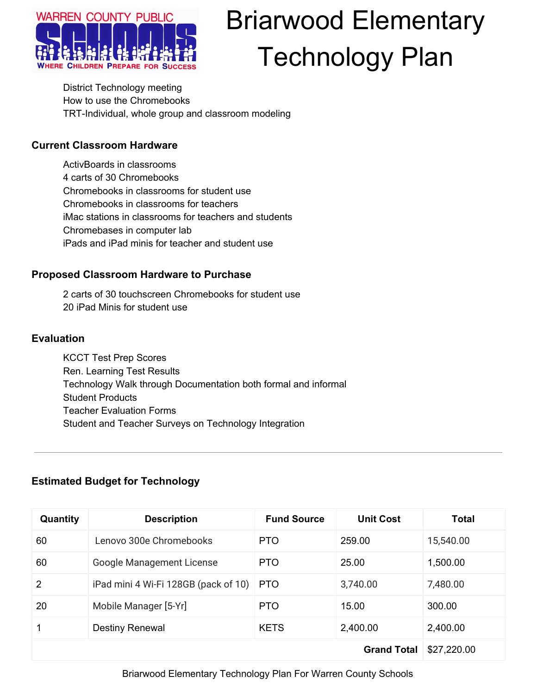

District Technology meeting How to use the Chromebooks TRT-Individual, whole group and classroom modeling

#### <span id="page-6-0"></span>**Current Classroom Hardware**

ActivBoards in classrooms 4 carts of 30 Chromebooks Chromebooks in classrooms for student use Chromebooks in classrooms for teachers iMac stations in classrooms for teachers and students Chromebases in computer lab iPads and iPad minis for teacher and student use

#### **Proposed Classroom Hardware to Purchase**

2 carts of 30 touchscreen Chromebooks for student use 20 iPad Minis for student use

#### <span id="page-6-1"></span>**Evaluation**

KCCT Test Prep Scores Ren. Learning Test Results Technology Walk through Documentation both formal and informal Student Products Teacher Evaluation Forms Student and Teacher Surveys on Technology Integration

#### <span id="page-6-2"></span>**Estimated Budget for Technology**

| Quantity       | <b>Description</b>                   | <b>Fund Source</b> | <b>Unit Cost</b> | <b>Total</b> |
|----------------|--------------------------------------|--------------------|------------------|--------------|
| 60             | Lenovo 300e Chromebooks              | <b>PTO</b>         | 259.00           | 15,540.00    |
| 60             | <b>Google Management License</b>     | PTO.               | 25.00            | 1,500.00     |
| $\overline{2}$ | iPad mini 4 Wi-Fi 128GB (pack of 10) | <b>PTO</b>         | 3,740.00         | 7,480.00     |
| 20             | Mobile Manager [5-Yr]                | PTO.               | 15.00            | 300.00       |
|                | <b>Destiny Renewal</b>               | <b>KETS</b>        | 2,400.00         | 2,400.00     |
|                | \$27,220.00                          |                    |                  |              |

Briarwood Elementary Technology Plan For Warren County Schools